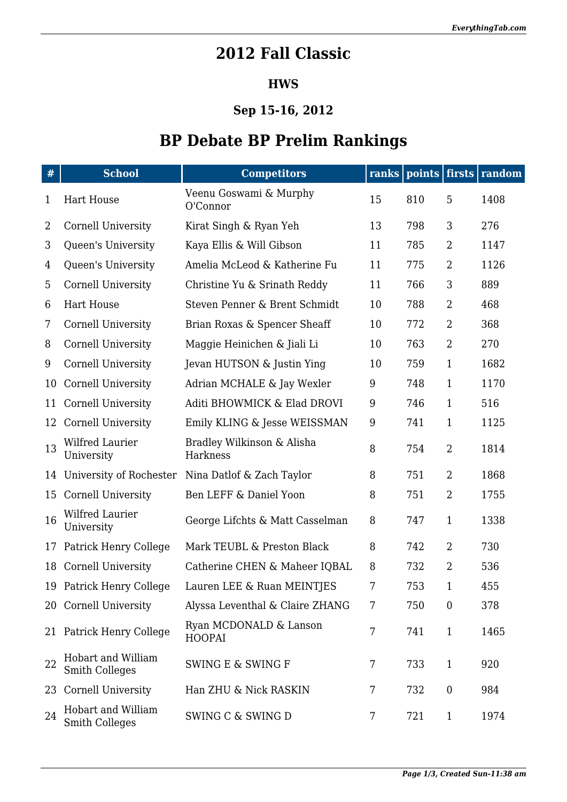## **2012 Fall Classic**

## **HWS**

## **Sep 15-16, 2012**

## **BP Debate BP Prelim Rankings**

| $\#$           | <b>School</b>                               | <b>Competitors</b>                      |    |     |                  | ranks points firsts random |
|----------------|---------------------------------------------|-----------------------------------------|----|-----|------------------|----------------------------|
| $\mathbf{1}$   | <b>Hart House</b>                           | Veenu Goswami & Murphy<br>O'Connor      | 15 | 810 | 5                | 1408                       |
| $\overline{2}$ | <b>Cornell University</b>                   | Kirat Singh & Ryan Yeh                  | 13 | 798 | 3                | 276                        |
| 3              | Queen's University                          | Kaya Ellis & Will Gibson                | 11 | 785 | $\overline{2}$   | 1147                       |
| 4              | Queen's University                          | Amelia McLeod & Katherine Fu            | 11 | 775 | $\overline{2}$   | 1126                       |
| 5              | <b>Cornell University</b>                   | Christine Yu & Srinath Reddy            | 11 | 766 | 3                | 889                        |
| 6              | <b>Hart House</b>                           | Steven Penner & Brent Schmidt           | 10 | 788 | $\overline{2}$   | 468                        |
| 7              | <b>Cornell University</b>                   | Brian Roxas & Spencer Sheaff            | 10 | 772 | $\overline{2}$   | 368                        |
| 8              | <b>Cornell University</b>                   | Maggie Heinichen & Jiali Li             | 10 | 763 | $\overline{2}$   | 270                        |
| 9              | Cornell University                          | Jevan HUTSON & Justin Ying              | 10 | 759 | $\mathbf 1$      | 1682                       |
| 10             | <b>Cornell University</b>                   | Adrian MCHALE & Jay Wexler              | 9  | 748 | $\mathbf{1}$     | 1170                       |
| 11             | <b>Cornell University</b>                   | Aditi BHOWMICK & Elad DROVI             | 9  | 746 | $\mathbf 1$      | 516                        |
| 12             | <b>Cornell University</b>                   | Emily KLING & Jesse WEISSMAN            | 9  | 741 | 1                | 1125                       |
| 13             | Wilfred Laurier<br>University               | Bradley Wilkinson & Alisha<br>Harkness  | 8  | 754 | $\overline{2}$   | 1814                       |
| 14             | University of Rochester                     | Nina Datlof & Zach Taylor               | 8  | 751 | $\overline{2}$   | 1868                       |
| 15             | <b>Cornell University</b>                   | Ben LEFF & Daniel Yoon                  | 8  | 751 | $\overline{2}$   | 1755                       |
| 16             | Wilfred Laurier<br>University               | George Lifchts & Matt Casselman         | 8  | 747 | $\mathbf{1}$     | 1338                       |
| 17             | Patrick Henry College                       | Mark TEUBL & Preston Black              | 8  | 742 | $\overline{2}$   | 730                        |
| 18             | Cornell University                          | Catherine CHEN & Maheer IQBAL           | 8  | 732 | $\overline{2}$   | 536                        |
|                | 19 Patrick Henry College                    | Lauren LEE & Ruan MEINTIES              | 7  | 753 | 1                | 455                        |
|                | 20 Cornell University                       | Alyssa Leventhal & Claire ZHANG         | 7  | 750 | $\boldsymbol{0}$ | 378                        |
|                | 21 Patrick Henry College                    | Ryan MCDONALD & Lanson<br><b>HOOPAI</b> | 7  | 741 | $\mathbf{1}$     | 1465                       |
| 22             | Hobart and William<br><b>Smith Colleges</b> | <b>SWING E &amp; SWING F</b>            | 7  | 733 | $\mathbf{1}$     | 920                        |
| 23             | <b>Cornell University</b>                   | Han ZHU & Nick RASKIN                   | 7  | 732 | $\boldsymbol{0}$ | 984                        |
| 24             | Hobart and William<br><b>Smith Colleges</b> | SWING C & SWING D                       | 7  | 721 | $\mathbf{1}$     | 1974                       |